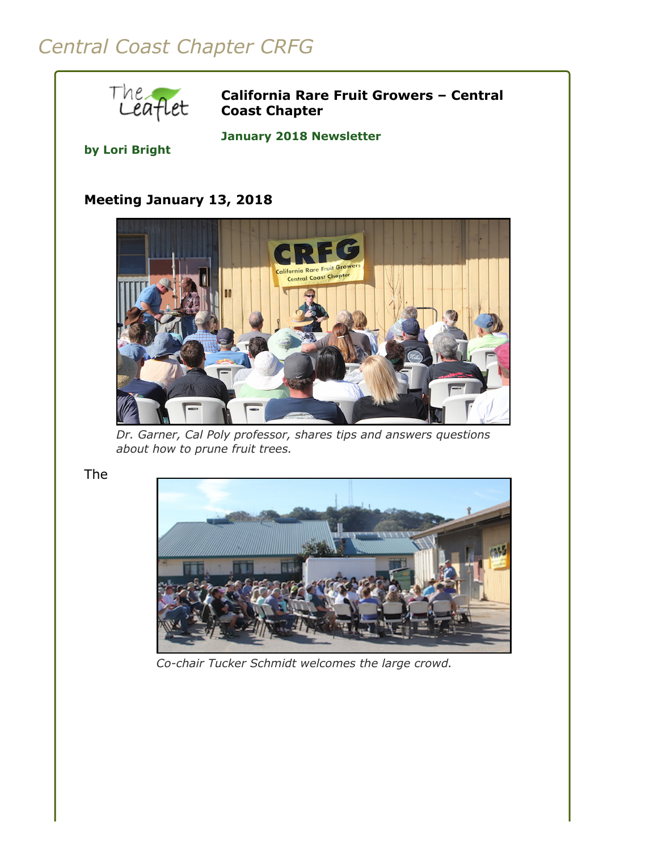# *Central Coast Chapter CRFG*



**California Rare Fruit Growers – Central Coast Chapter**

**January 2018 Newsletter** 

#### **by Lori Bright**

## **Meeting January 13, 2018**



*Dr. Garner, Cal Poly professor, shares tips and answers questions about how to prune fruit trees.*

The



*Co-chair Tucker Schmidt welcomes the large crowd.*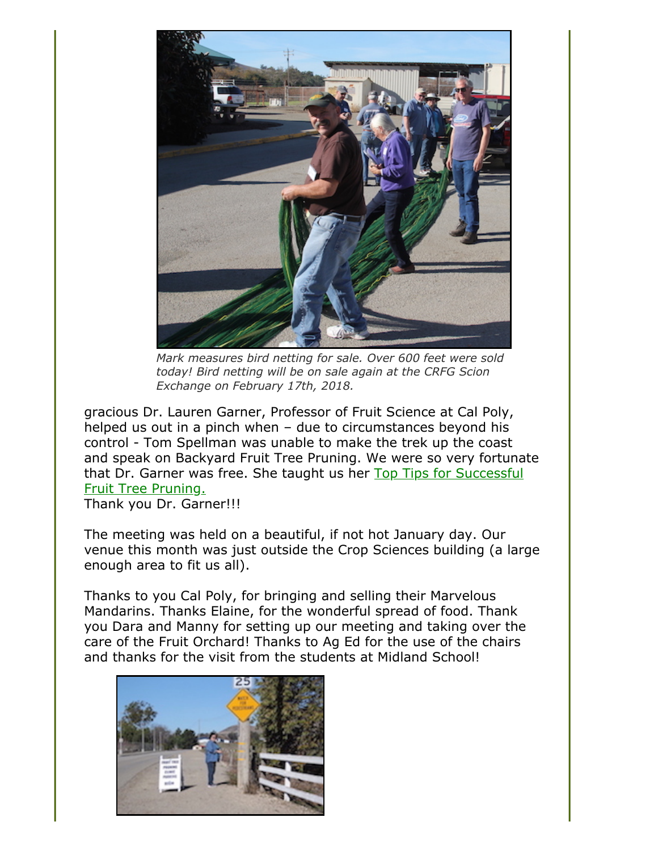

*Mark measures bird netting for sale. Over 600 feet were sold today! Bird netting will be on sale again at the CRFG Scion Exchange on February 17th, 2018.*

gracious Dr. Lauren Garner, Professor of Fruit Science at Cal Poly, helped us out in a pinch when – due to circumstances beyond his control - Tom Spellman was unable to make the trek up the coast and speak on Backyard Fruit Tree Pruning. We were so very fortunate [that Dr. Garner was free. She taught us her Top Tips for Successful](#page-2-0) Fruit Tree Pruning.

Thank you Dr. Garner!!!

The meeting was held on a beautiful, if not hot January day. Our venue this month was just outside the Crop Sciences building (a large enough area to fit us all).

Thanks to you Cal Poly, for bringing and selling their Marvelous Mandarins. Thanks Elaine, for the wonderful spread of food. Thank you Dara and Manny for setting up our meeting and taking over the care of the Fruit Orchard! Thanks to Ag Ed for the use of the chairs and thanks for the visit from the students at Midland School!

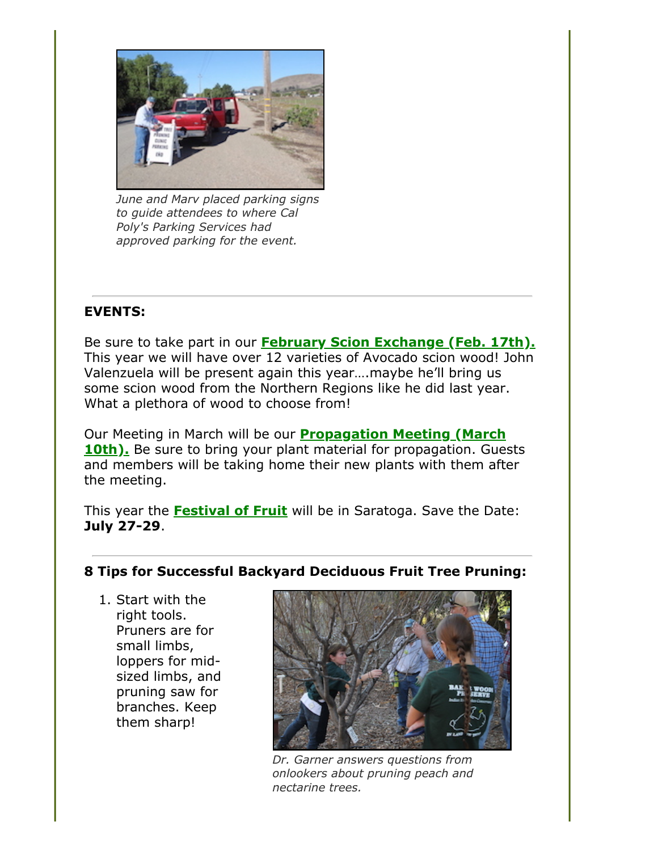

*June and Marv placed parking signs to guide attendees to where Cal Poly's Parking Services had approved parking for the event.*

## **EVENTS:**

Be sure to take part in our **[February Scion Exchange \(Feb. 17th\).](file:///Users/daramanker/Documents/CRFG/Website/Newsletters/2018/Jan/calendar.html)** This year we will have over 12 varieties of Avocado scion wood! John Valenzuela will be present again this year….maybe he'll bring us some scion wood from the Northern Regions like he did last year. What a plethora of wood to choose from!

Our Meeting in March will be our **Propagation Meeting (March 10th).** [Be sure to bring your plant material for propagation. Gue](file:///Users/daramanker/Documents/CRFG/Website/Newsletters/2018/Jan/calendar.html)sts and members will be taking home their new plants with them after the meeting.

This year the **[Festival of Fruit](http://festivaloffruit.org/)** will be in Saratoga. Save the Date: **July 27-29**.

## <span id="page-2-0"></span>**8 Tips for Successful Backyard Deciduous Fruit Tree Pruning:**

1. Start with the right tools. Pruners are for small limbs, loppers for midsized limbs, and pruning saw for branches. Keep them sharp!



*Dr. Garner answers questions from onlookers about pruning peach and nectarine trees.*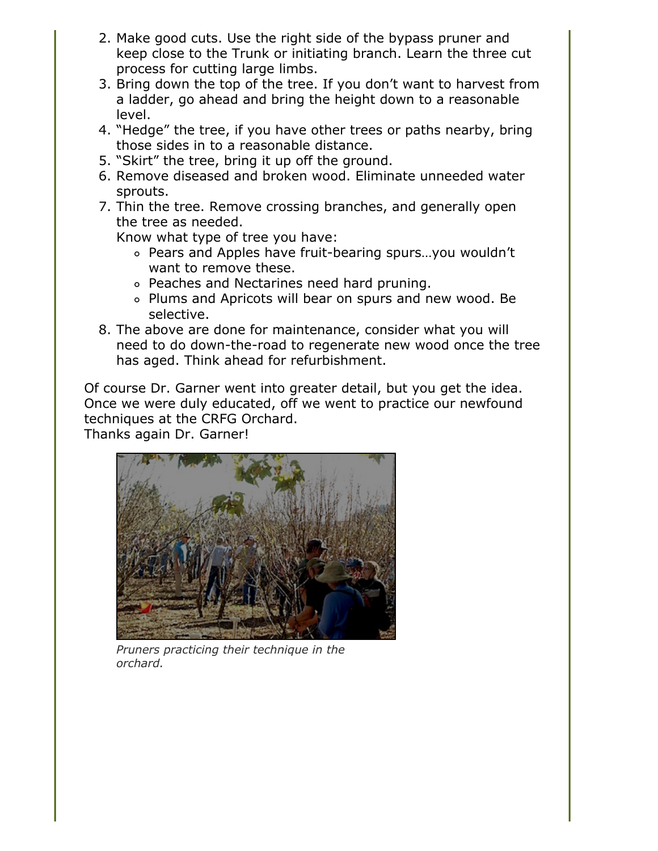- 2. Make good cuts. Use the right side of the bypass pruner and keep close to the Trunk or initiating branch. Learn the three cut process for cutting large limbs.
- 3. Bring down the top of the tree. If you don't want to harvest from a ladder, go ahead and bring the height down to a reasonable level.
- 4. "Hedge" the tree, if you have other trees or paths nearby, bring those sides in to a reasonable distance.
- 5. "Skirt" the tree, bring it up off the ground.
- 6. Remove diseased and broken wood. Eliminate unneeded water sprouts.
- 7. Thin the tree. Remove crossing branches, and generally open the tree as needed.

Know what type of tree you have:

- Pears and Apples have fruit-bearing spurs…you wouldn't want to remove these.
- Peaches and Nectarines need hard pruning.
- Plums and Apricots will bear on spurs and new wood. Be selective.
- 8. The above are done for maintenance, consider what you will need to do down-the-road to regenerate new wood once the tree has aged. Think ahead for refurbishment.

Of course Dr. Garner went into greater detail, but you get the idea. Once we were duly educated, off we went to practice our newfound techniques at the CRFG Orchard.

Thanks again Dr. Garner!



*Pruners practicing their technique in the orchard.*